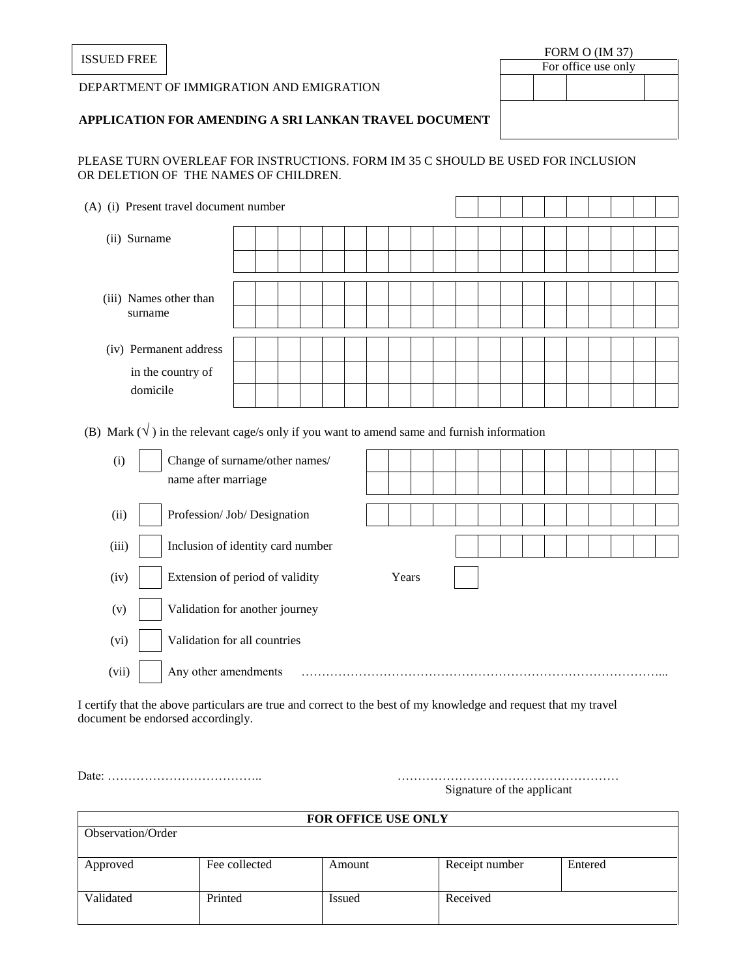#### DEPARTMENT OF IMMIGRATION AND EMIGRATION

# $\frac{FORM\ O\ (IM\ 37)}{FORMO\ (IM\ 37)}$ For office use only

## **APPLICATION FOR AMENDING A SRI LANKAN TRAVEL DOCUMENT**

### PLEASE TURN OVERLEAF FOR INSTRUCTIONS. FORM IM 35 C SHOULD BE USED FOR INCLUSION OR DELETION OF THE NAMES OF CHILDREN.

| (A) (i) Present travel document number |                                   |  |  |  |  |  |  |  |  |  |  |  |  |  |  |  |  |
|----------------------------------------|-----------------------------------|--|--|--|--|--|--|--|--|--|--|--|--|--|--|--|--|
|                                        | (ii) Surname                      |  |  |  |  |  |  |  |  |  |  |  |  |  |  |  |  |
|                                        |                                   |  |  |  |  |  |  |  |  |  |  |  |  |  |  |  |  |
|                                        | (iii) Names other than<br>surname |  |  |  |  |  |  |  |  |  |  |  |  |  |  |  |  |
|                                        |                                   |  |  |  |  |  |  |  |  |  |  |  |  |  |  |  |  |
|                                        | (iv) Permanent address            |  |  |  |  |  |  |  |  |  |  |  |  |  |  |  |  |
|                                        | in the country of<br>domicile     |  |  |  |  |  |  |  |  |  |  |  |  |  |  |  |  |
|                                        |                                   |  |  |  |  |  |  |  |  |  |  |  |  |  |  |  |  |

(B) Mark  $(\sqrt{\ } )$  in the relevant cage/s only if you want to amend same and furnish information

| (i)   | Change of surname/other names/    |       |  |  |  |  |  |  |
|-------|-----------------------------------|-------|--|--|--|--|--|--|
|       | name after marriage               |       |  |  |  |  |  |  |
| (ii)  | Profession/ Job/ Designation      |       |  |  |  |  |  |  |
| (iii) | Inclusion of identity card number |       |  |  |  |  |  |  |
| (iv)  | Extension of period of validity   | Years |  |  |  |  |  |  |
| (v)   | Validation for another journey    |       |  |  |  |  |  |  |
| (vi)  | Validation for all countries      |       |  |  |  |  |  |  |
| (vii) | Any other amendments              |       |  |  |  |  |  |  |

I certify that the above particulars are true and correct to the best of my knowledge and request that my travel document be endorsed accordingly.

Date: ……………………………….. ………………………………………………

Signature of the applicant

| <b>FOR OFFICE USE ONLY</b> |               |        |                |         |  |  |  |  |  |  |  |  |
|----------------------------|---------------|--------|----------------|---------|--|--|--|--|--|--|--|--|
| Observation/Order          |               |        |                |         |  |  |  |  |  |  |  |  |
|                            |               |        |                |         |  |  |  |  |  |  |  |  |
| Approved                   | Fee collected | Amount | Receipt number | Entered |  |  |  |  |  |  |  |  |
|                            |               |        |                |         |  |  |  |  |  |  |  |  |
| Validated                  | Printed       | Issued | Received       |         |  |  |  |  |  |  |  |  |
|                            |               |        |                |         |  |  |  |  |  |  |  |  |